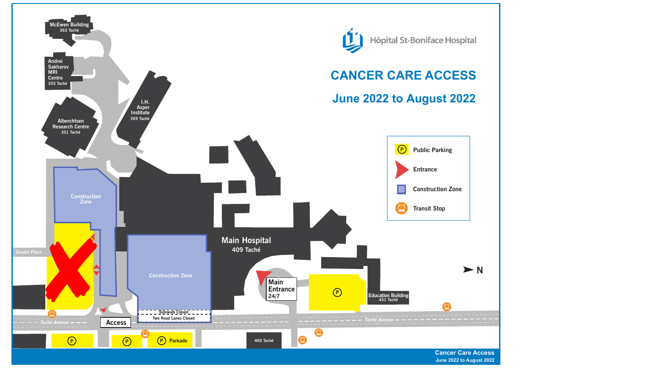



**Cancer Care Access June 2022 to August 2022**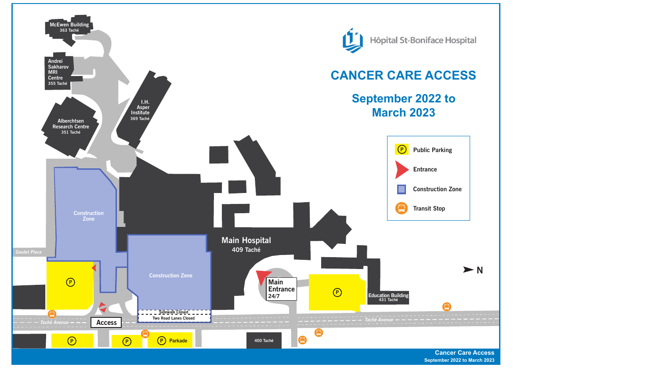



**Cancer Care Access September 2022 to March 2023**